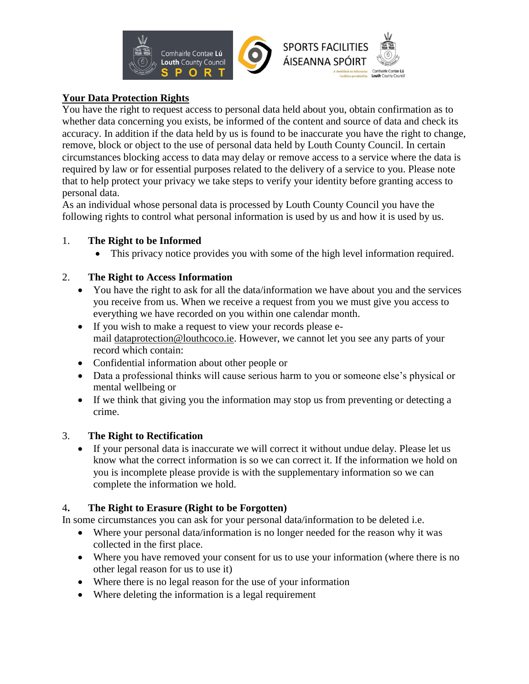

## **Your Data Protection Rights**

You have the right to request access to personal data held about you, obtain confirmation as to whether data concerning you exists, be informed of the content and source of data and check its accuracy. In addition if the data held by us is found to be inaccurate you have the right to change, remove, block or object to the use of personal data held by Louth County Council. In certain circumstances blocking access to data may delay or remove access to a service where the data is required by law or for essential purposes related to the delivery of a service to you. Please note that to help protect your privacy we take steps to verify your identity before granting access to personal data.

As an individual whose personal data is processed by Louth County Council you have the following rights to control what personal information is used by us and how it is used by us.

### 1. **The Right to be Informed**

This privacy notice provides you with some of the high level information required.

## 2. **The Right to Access Information**

- You have the right to ask for all the data/information we have about you and the services you receive from us. When we receive a request from you we must give you access to everything we have recorded on you within one calendar month.
- If you wish to make a request to view your records please email dataprotection@louthcoco.ie. However, we cannot let you see any parts of your record which contain:
- Confidential information about other people or
- Data a professional thinks will cause serious harm to you or someone else's physical or mental wellbeing or
- If we think that giving you the information may stop us from preventing or detecting a crime.

# 3. **The Right to Rectification**

 If your personal data is inaccurate we will correct it without undue delay. Please let us know what the correct information is so we can correct it. If the information we hold on you is incomplete please provide is with the supplementary information so we can complete the information we hold.

# 4**. The Right to Erasure (Right to be Forgotten)**

In some circumstances you can ask for your personal data/information to be deleted i.e.

- Where your personal data/information is no longer needed for the reason why it was collected in the first place.
- Where you have removed your consent for us to use your information (where there is no other legal reason for us to use it)
- Where there is no legal reason for the use of your information
- Where deleting the information is a legal requirement